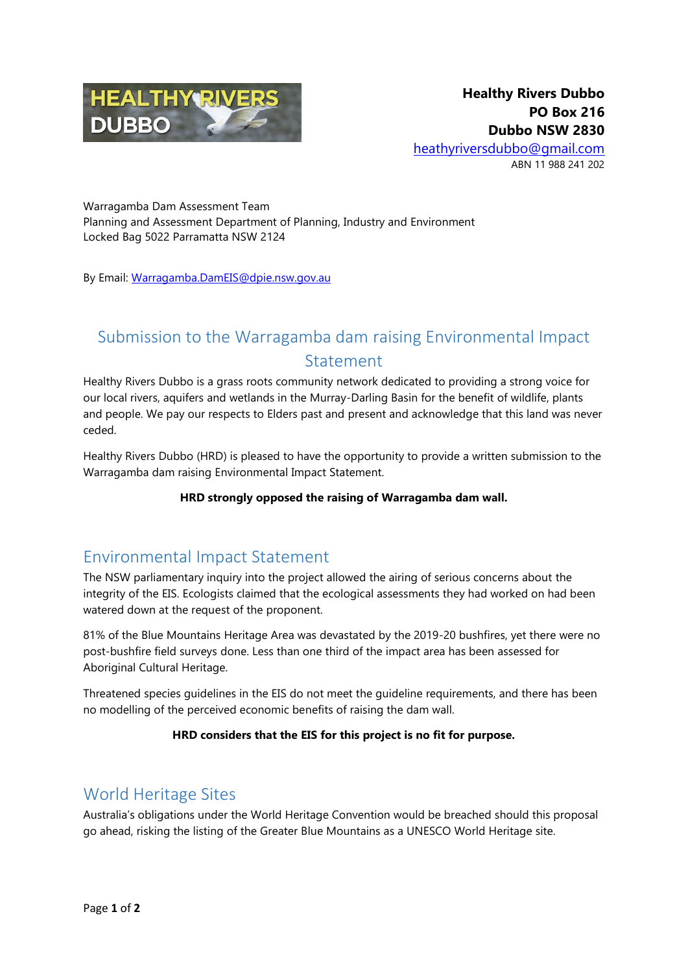

Warragamba Dam Assessment Team Planning and Assessment Department of Planning, Industry and Environment Locked Bag 5022 Parramatta NSW 2124

By Email: [Warragamba.DamEIS@dpie.nsw.gov.au](mailto:Warragamba.DamEIS@dpie.nsw.gov.au)

# Submission to the Warragamba dam raising Environmental Impact Statement

Healthy Rivers Dubbo is a grass roots community network dedicated to providing a strong voice for our local rivers, aquifers and wetlands in the Murray-Darling Basin for the benefit of wildlife, plants and people. We pay our respects to Elders past and present and acknowledge that this land was never ceded.

Healthy Rivers Dubbo (HRD) is pleased to have the opportunity to provide a written submission to the Warragamba dam raising Environmental Impact Statement.

#### **HRD strongly opposed the raising of Warragamba dam wall.**

# Environmental Impact Statement

The NSW parliamentary inquiry into the project allowed the airing of serious concerns about the integrity of the EIS. Ecologists claimed that the ecological assessments they had worked on had been watered down at the request of the proponent.

81% of the Blue Mountains Heritage Area was devastated by the 2019-20 bushfires, yet there were no post-bushfire field surveys done. Less than one third of the impact area has been assessed for Aboriginal Cultural Heritage.

Threatened species guidelines in the EIS do not meet the guideline requirements, and there has been no modelling of the perceived economic benefits of raising the dam wall.

#### **HRD considers that the EIS for this project is no fit for purpose.**

### World Heritage Sites

Australia's obligations under the World Heritage Convention would be breached should this proposal go ahead, risking the listing of the Greater Blue Mountains as a UNESCO World Heritage site.